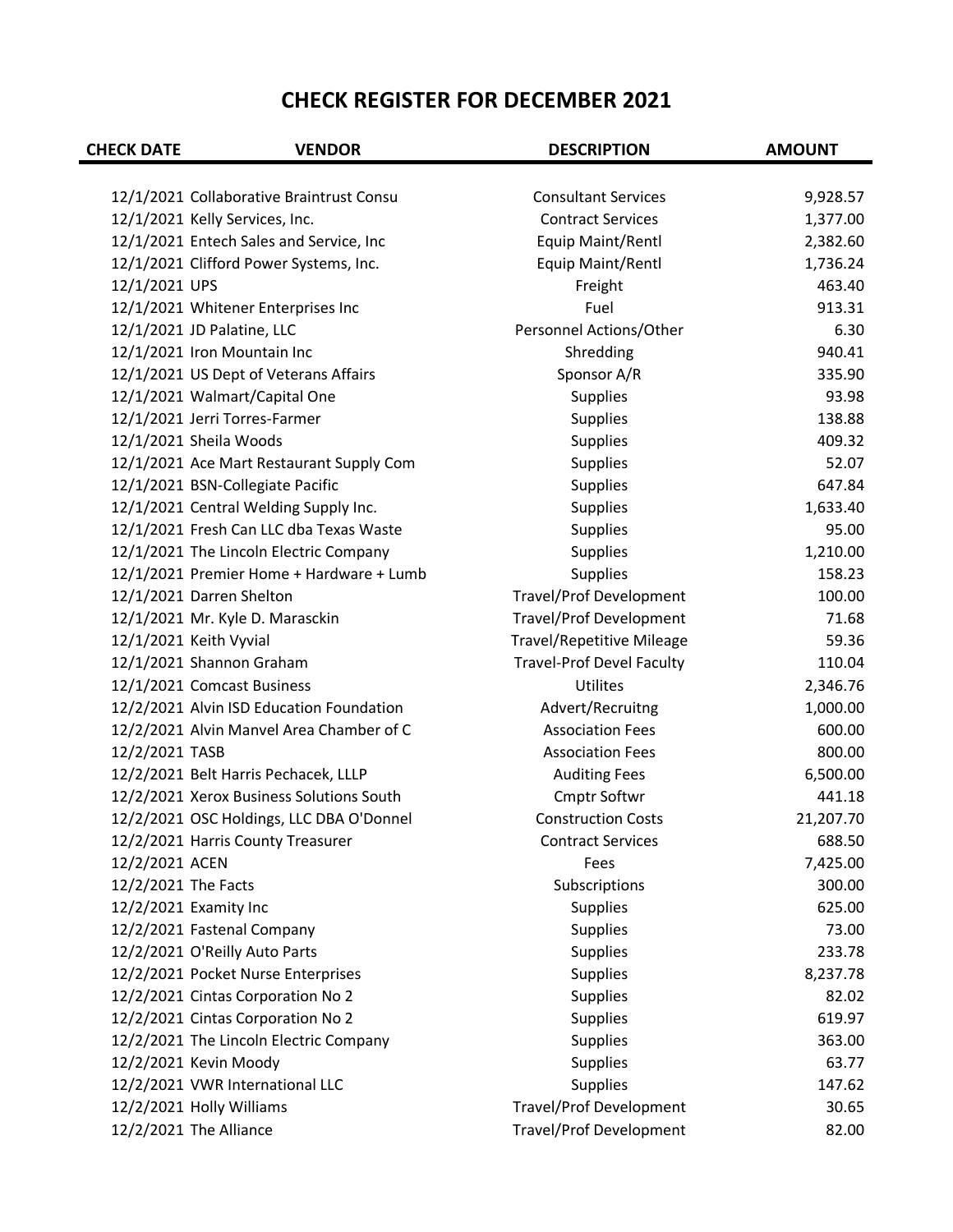| 12/1/2021 Collaborative Braintrust Consu<br><b>Consultant Services</b><br>9,928.57<br>12/1/2021 Kelly Services, Inc.<br><b>Contract Services</b><br>1,377.00<br>12/1/2021 Entech Sales and Service, Inc<br>Equip Maint/Rentl<br>2,382.60<br>12/1/2021 Clifford Power Systems, Inc.<br>Equip Maint/Rentl<br>1,736.24<br>12/1/2021 UPS<br>Freight<br>463.40<br>913.31<br>12/1/2021 Whitener Enterprises Inc<br>Fuel<br>12/1/2021 JD Palatine, LLC<br>Personnel Actions/Other<br>6.30<br>12/1/2021 Iron Mountain Inc<br>Shredding<br>940.41<br>12/1/2021 US Dept of Veterans Affairs<br>Sponsor A/R<br>335.90<br>12/1/2021 Walmart/Capital One<br>Supplies<br>93.98<br>12/1/2021 Jerri Torres-Farmer<br>138.88<br>Supplies<br>12/1/2021 Sheila Woods<br>409.32<br>Supplies<br>Supplies<br>12/1/2021 Ace Mart Restaurant Supply Com<br>52.07<br>12/1/2021 BSN-Collegiate Pacific<br>Supplies<br>647.84<br>12/1/2021 Central Welding Supply Inc.<br>Supplies<br>1,633.40<br>12/1/2021 Fresh Can LLC dba Texas Waste<br>95.00<br>Supplies<br>12/1/2021 The Lincoln Electric Company<br>Supplies<br>1,210.00<br>Supplies<br>158.23<br>12/1/2021 Premier Home + Hardware + Lumb<br>12/1/2021 Darren Shelton<br><b>Travel/Prof Development</b><br>100.00<br><b>Travel/Prof Development</b><br>12/1/2021 Mr. Kyle D. Marasckin<br>71.68<br>12/1/2021 Keith Vyvial<br><b>Travel/Repetitive Mileage</b><br>59.36<br>12/1/2021 Shannon Graham<br><b>Travel-Prof Devel Faculty</b><br>110.04<br>12/1/2021 Comcast Business<br><b>Utilites</b><br>2,346.76<br>12/2/2021 Alvin ISD Education Foundation<br>Advert/Recruitng<br>1,000.00<br>12/2/2021 Alvin Manvel Area Chamber of C<br>600.00<br><b>Association Fees</b><br>12/2/2021 TASB<br><b>Association Fees</b><br>800.00<br>12/2/2021 Belt Harris Pechacek, LLLP<br><b>Auditing Fees</b><br>6,500.00<br>12/2/2021 Xerox Business Solutions South<br>Cmptr Softwr<br>441.18<br>12/2/2021 OSC Holdings, LLC DBA O'Donnel<br><b>Construction Costs</b><br>21,207.70<br>688.50<br>12/2/2021 Harris County Treasurer<br><b>Contract Services</b> |
|------------------------------------------------------------------------------------------------------------------------------------------------------------------------------------------------------------------------------------------------------------------------------------------------------------------------------------------------------------------------------------------------------------------------------------------------------------------------------------------------------------------------------------------------------------------------------------------------------------------------------------------------------------------------------------------------------------------------------------------------------------------------------------------------------------------------------------------------------------------------------------------------------------------------------------------------------------------------------------------------------------------------------------------------------------------------------------------------------------------------------------------------------------------------------------------------------------------------------------------------------------------------------------------------------------------------------------------------------------------------------------------------------------------------------------------------------------------------------------------------------------------------------------------------------------------------------------------------------------------------------------------------------------------------------------------------------------------------------------------------------------------------------------------------------------------------------------------------------------------------------------------------------------------------------------------------------------------------------------------------------------------------------------------------------------------------------------|
|                                                                                                                                                                                                                                                                                                                                                                                                                                                                                                                                                                                                                                                                                                                                                                                                                                                                                                                                                                                                                                                                                                                                                                                                                                                                                                                                                                                                                                                                                                                                                                                                                                                                                                                                                                                                                                                                                                                                                                                                                                                                                    |
|                                                                                                                                                                                                                                                                                                                                                                                                                                                                                                                                                                                                                                                                                                                                                                                                                                                                                                                                                                                                                                                                                                                                                                                                                                                                                                                                                                                                                                                                                                                                                                                                                                                                                                                                                                                                                                                                                                                                                                                                                                                                                    |
|                                                                                                                                                                                                                                                                                                                                                                                                                                                                                                                                                                                                                                                                                                                                                                                                                                                                                                                                                                                                                                                                                                                                                                                                                                                                                                                                                                                                                                                                                                                                                                                                                                                                                                                                                                                                                                                                                                                                                                                                                                                                                    |
|                                                                                                                                                                                                                                                                                                                                                                                                                                                                                                                                                                                                                                                                                                                                                                                                                                                                                                                                                                                                                                                                                                                                                                                                                                                                                                                                                                                                                                                                                                                                                                                                                                                                                                                                                                                                                                                                                                                                                                                                                                                                                    |
|                                                                                                                                                                                                                                                                                                                                                                                                                                                                                                                                                                                                                                                                                                                                                                                                                                                                                                                                                                                                                                                                                                                                                                                                                                                                                                                                                                                                                                                                                                                                                                                                                                                                                                                                                                                                                                                                                                                                                                                                                                                                                    |
|                                                                                                                                                                                                                                                                                                                                                                                                                                                                                                                                                                                                                                                                                                                                                                                                                                                                                                                                                                                                                                                                                                                                                                                                                                                                                                                                                                                                                                                                                                                                                                                                                                                                                                                                                                                                                                                                                                                                                                                                                                                                                    |
|                                                                                                                                                                                                                                                                                                                                                                                                                                                                                                                                                                                                                                                                                                                                                                                                                                                                                                                                                                                                                                                                                                                                                                                                                                                                                                                                                                                                                                                                                                                                                                                                                                                                                                                                                                                                                                                                                                                                                                                                                                                                                    |
|                                                                                                                                                                                                                                                                                                                                                                                                                                                                                                                                                                                                                                                                                                                                                                                                                                                                                                                                                                                                                                                                                                                                                                                                                                                                                                                                                                                                                                                                                                                                                                                                                                                                                                                                                                                                                                                                                                                                                                                                                                                                                    |
|                                                                                                                                                                                                                                                                                                                                                                                                                                                                                                                                                                                                                                                                                                                                                                                                                                                                                                                                                                                                                                                                                                                                                                                                                                                                                                                                                                                                                                                                                                                                                                                                                                                                                                                                                                                                                                                                                                                                                                                                                                                                                    |
|                                                                                                                                                                                                                                                                                                                                                                                                                                                                                                                                                                                                                                                                                                                                                                                                                                                                                                                                                                                                                                                                                                                                                                                                                                                                                                                                                                                                                                                                                                                                                                                                                                                                                                                                                                                                                                                                                                                                                                                                                                                                                    |
|                                                                                                                                                                                                                                                                                                                                                                                                                                                                                                                                                                                                                                                                                                                                                                                                                                                                                                                                                                                                                                                                                                                                                                                                                                                                                                                                                                                                                                                                                                                                                                                                                                                                                                                                                                                                                                                                                                                                                                                                                                                                                    |
|                                                                                                                                                                                                                                                                                                                                                                                                                                                                                                                                                                                                                                                                                                                                                                                                                                                                                                                                                                                                                                                                                                                                                                                                                                                                                                                                                                                                                                                                                                                                                                                                                                                                                                                                                                                                                                                                                                                                                                                                                                                                                    |
|                                                                                                                                                                                                                                                                                                                                                                                                                                                                                                                                                                                                                                                                                                                                                                                                                                                                                                                                                                                                                                                                                                                                                                                                                                                                                                                                                                                                                                                                                                                                                                                                                                                                                                                                                                                                                                                                                                                                                                                                                                                                                    |
|                                                                                                                                                                                                                                                                                                                                                                                                                                                                                                                                                                                                                                                                                                                                                                                                                                                                                                                                                                                                                                                                                                                                                                                                                                                                                                                                                                                                                                                                                                                                                                                                                                                                                                                                                                                                                                                                                                                                                                                                                                                                                    |
|                                                                                                                                                                                                                                                                                                                                                                                                                                                                                                                                                                                                                                                                                                                                                                                                                                                                                                                                                                                                                                                                                                                                                                                                                                                                                                                                                                                                                                                                                                                                                                                                                                                                                                                                                                                                                                                                                                                                                                                                                                                                                    |
|                                                                                                                                                                                                                                                                                                                                                                                                                                                                                                                                                                                                                                                                                                                                                                                                                                                                                                                                                                                                                                                                                                                                                                                                                                                                                                                                                                                                                                                                                                                                                                                                                                                                                                                                                                                                                                                                                                                                                                                                                                                                                    |
|                                                                                                                                                                                                                                                                                                                                                                                                                                                                                                                                                                                                                                                                                                                                                                                                                                                                                                                                                                                                                                                                                                                                                                                                                                                                                                                                                                                                                                                                                                                                                                                                                                                                                                                                                                                                                                                                                                                                                                                                                                                                                    |
|                                                                                                                                                                                                                                                                                                                                                                                                                                                                                                                                                                                                                                                                                                                                                                                                                                                                                                                                                                                                                                                                                                                                                                                                                                                                                                                                                                                                                                                                                                                                                                                                                                                                                                                                                                                                                                                                                                                                                                                                                                                                                    |
|                                                                                                                                                                                                                                                                                                                                                                                                                                                                                                                                                                                                                                                                                                                                                                                                                                                                                                                                                                                                                                                                                                                                                                                                                                                                                                                                                                                                                                                                                                                                                                                                                                                                                                                                                                                                                                                                                                                                                                                                                                                                                    |
|                                                                                                                                                                                                                                                                                                                                                                                                                                                                                                                                                                                                                                                                                                                                                                                                                                                                                                                                                                                                                                                                                                                                                                                                                                                                                                                                                                                                                                                                                                                                                                                                                                                                                                                                                                                                                                                                                                                                                                                                                                                                                    |
|                                                                                                                                                                                                                                                                                                                                                                                                                                                                                                                                                                                                                                                                                                                                                                                                                                                                                                                                                                                                                                                                                                                                                                                                                                                                                                                                                                                                                                                                                                                                                                                                                                                                                                                                                                                                                                                                                                                                                                                                                                                                                    |
|                                                                                                                                                                                                                                                                                                                                                                                                                                                                                                                                                                                                                                                                                                                                                                                                                                                                                                                                                                                                                                                                                                                                                                                                                                                                                                                                                                                                                                                                                                                                                                                                                                                                                                                                                                                                                                                                                                                                                                                                                                                                                    |
|                                                                                                                                                                                                                                                                                                                                                                                                                                                                                                                                                                                                                                                                                                                                                                                                                                                                                                                                                                                                                                                                                                                                                                                                                                                                                                                                                                                                                                                                                                                                                                                                                                                                                                                                                                                                                                                                                                                                                                                                                                                                                    |
|                                                                                                                                                                                                                                                                                                                                                                                                                                                                                                                                                                                                                                                                                                                                                                                                                                                                                                                                                                                                                                                                                                                                                                                                                                                                                                                                                                                                                                                                                                                                                                                                                                                                                                                                                                                                                                                                                                                                                                                                                                                                                    |
|                                                                                                                                                                                                                                                                                                                                                                                                                                                                                                                                                                                                                                                                                                                                                                                                                                                                                                                                                                                                                                                                                                                                                                                                                                                                                                                                                                                                                                                                                                                                                                                                                                                                                                                                                                                                                                                                                                                                                                                                                                                                                    |
|                                                                                                                                                                                                                                                                                                                                                                                                                                                                                                                                                                                                                                                                                                                                                                                                                                                                                                                                                                                                                                                                                                                                                                                                                                                                                                                                                                                                                                                                                                                                                                                                                                                                                                                                                                                                                                                                                                                                                                                                                                                                                    |
|                                                                                                                                                                                                                                                                                                                                                                                                                                                                                                                                                                                                                                                                                                                                                                                                                                                                                                                                                                                                                                                                                                                                                                                                                                                                                                                                                                                                                                                                                                                                                                                                                                                                                                                                                                                                                                                                                                                                                                                                                                                                                    |
|                                                                                                                                                                                                                                                                                                                                                                                                                                                                                                                                                                                                                                                                                                                                                                                                                                                                                                                                                                                                                                                                                                                                                                                                                                                                                                                                                                                                                                                                                                                                                                                                                                                                                                                                                                                                                                                                                                                                                                                                                                                                                    |
|                                                                                                                                                                                                                                                                                                                                                                                                                                                                                                                                                                                                                                                                                                                                                                                                                                                                                                                                                                                                                                                                                                                                                                                                                                                                                                                                                                                                                                                                                                                                                                                                                                                                                                                                                                                                                                                                                                                                                                                                                                                                                    |
|                                                                                                                                                                                                                                                                                                                                                                                                                                                                                                                                                                                                                                                                                                                                                                                                                                                                                                                                                                                                                                                                                                                                                                                                                                                                                                                                                                                                                                                                                                                                                                                                                                                                                                                                                                                                                                                                                                                                                                                                                                                                                    |
|                                                                                                                                                                                                                                                                                                                                                                                                                                                                                                                                                                                                                                                                                                                                                                                                                                                                                                                                                                                                                                                                                                                                                                                                                                                                                                                                                                                                                                                                                                                                                                                                                                                                                                                                                                                                                                                                                                                                                                                                                                                                                    |
| 12/2/2021 ACEN<br>7,425.00<br>Fees                                                                                                                                                                                                                                                                                                                                                                                                                                                                                                                                                                                                                                                                                                                                                                                                                                                                                                                                                                                                                                                                                                                                                                                                                                                                                                                                                                                                                                                                                                                                                                                                                                                                                                                                                                                                                                                                                                                                                                                                                                                 |
| 12/2/2021 The Facts<br>300.00<br>Subscriptions                                                                                                                                                                                                                                                                                                                                                                                                                                                                                                                                                                                                                                                                                                                                                                                                                                                                                                                                                                                                                                                                                                                                                                                                                                                                                                                                                                                                                                                                                                                                                                                                                                                                                                                                                                                                                                                                                                                                                                                                                                     |
| 12/2/2021 Examity Inc<br><b>Supplies</b><br>625.00                                                                                                                                                                                                                                                                                                                                                                                                                                                                                                                                                                                                                                                                                                                                                                                                                                                                                                                                                                                                                                                                                                                                                                                                                                                                                                                                                                                                                                                                                                                                                                                                                                                                                                                                                                                                                                                                                                                                                                                                                                 |
| 12/2/2021 Fastenal Company<br>Supplies<br>73.00                                                                                                                                                                                                                                                                                                                                                                                                                                                                                                                                                                                                                                                                                                                                                                                                                                                                                                                                                                                                                                                                                                                                                                                                                                                                                                                                                                                                                                                                                                                                                                                                                                                                                                                                                                                                                                                                                                                                                                                                                                    |
| 12/2/2021 O'Reilly Auto Parts<br>Supplies<br>233.78                                                                                                                                                                                                                                                                                                                                                                                                                                                                                                                                                                                                                                                                                                                                                                                                                                                                                                                                                                                                                                                                                                                                                                                                                                                                                                                                                                                                                                                                                                                                                                                                                                                                                                                                                                                                                                                                                                                                                                                                                                |
| 12/2/2021 Pocket Nurse Enterprises<br>Supplies<br>8,237.78                                                                                                                                                                                                                                                                                                                                                                                                                                                                                                                                                                                                                                                                                                                                                                                                                                                                                                                                                                                                                                                                                                                                                                                                                                                                                                                                                                                                                                                                                                                                                                                                                                                                                                                                                                                                                                                                                                                                                                                                                         |
| 12/2/2021 Cintas Corporation No 2<br>Supplies<br>82.02                                                                                                                                                                                                                                                                                                                                                                                                                                                                                                                                                                                                                                                                                                                                                                                                                                                                                                                                                                                                                                                                                                                                                                                                                                                                                                                                                                                                                                                                                                                                                                                                                                                                                                                                                                                                                                                                                                                                                                                                                             |
| 12/2/2021 Cintas Corporation No 2<br><b>Supplies</b><br>619.97                                                                                                                                                                                                                                                                                                                                                                                                                                                                                                                                                                                                                                                                                                                                                                                                                                                                                                                                                                                                                                                                                                                                                                                                                                                                                                                                                                                                                                                                                                                                                                                                                                                                                                                                                                                                                                                                                                                                                                                                                     |
| 12/2/2021 The Lincoln Electric Company<br>Supplies<br>363.00                                                                                                                                                                                                                                                                                                                                                                                                                                                                                                                                                                                                                                                                                                                                                                                                                                                                                                                                                                                                                                                                                                                                                                                                                                                                                                                                                                                                                                                                                                                                                                                                                                                                                                                                                                                                                                                                                                                                                                                                                       |
| 12/2/2021 Kevin Moody<br>Supplies<br>63.77                                                                                                                                                                                                                                                                                                                                                                                                                                                                                                                                                                                                                                                                                                                                                                                                                                                                                                                                                                                                                                                                                                                                                                                                                                                                                                                                                                                                                                                                                                                                                                                                                                                                                                                                                                                                                                                                                                                                                                                                                                         |
| 12/2/2021 VWR International LLC<br>Supplies<br>147.62                                                                                                                                                                                                                                                                                                                                                                                                                                                                                                                                                                                                                                                                                                                                                                                                                                                                                                                                                                                                                                                                                                                                                                                                                                                                                                                                                                                                                                                                                                                                                                                                                                                                                                                                                                                                                                                                                                                                                                                                                              |
| 12/2/2021 Holly Williams<br><b>Travel/Prof Development</b><br>30.65                                                                                                                                                                                                                                                                                                                                                                                                                                                                                                                                                                                                                                                                                                                                                                                                                                                                                                                                                                                                                                                                                                                                                                                                                                                                                                                                                                                                                                                                                                                                                                                                                                                                                                                                                                                                                                                                                                                                                                                                                |
| 12/2/2021 The Alliance<br><b>Travel/Prof Development</b><br>82.00                                                                                                                                                                                                                                                                                                                                                                                                                                                                                                                                                                                                                                                                                                                                                                                                                                                                                                                                                                                                                                                                                                                                                                                                                                                                                                                                                                                                                                                                                                                                                                                                                                                                                                                                                                                                                                                                                                                                                                                                                  |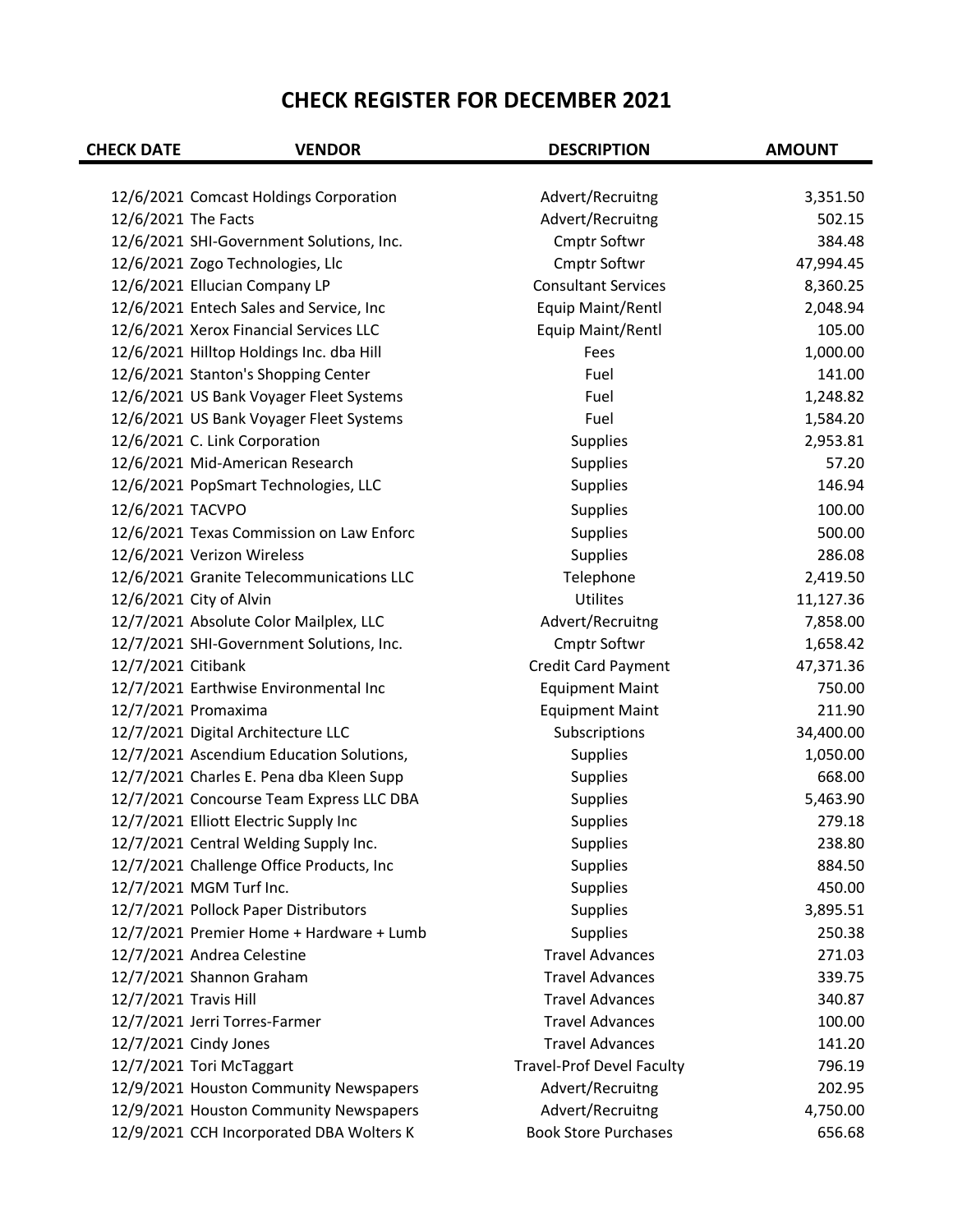| <b>CHECK DATE</b>     | <b>VENDOR</b>                                                                | <b>DESCRIPTION</b>                  | <b>AMOUNT</b>       |
|-----------------------|------------------------------------------------------------------------------|-------------------------------------|---------------------|
|                       |                                                                              |                                     |                     |
|                       | 12/6/2021 Comcast Holdings Corporation                                       | Advert/Recruitng                    | 3,351.50<br>502.15  |
| 12/6/2021 The Facts   |                                                                              | Advert/Recruitng                    |                     |
|                       | 12/6/2021 SHI-Government Solutions, Inc.<br>12/6/2021 Zogo Technologies, Llc | <b>Cmptr Softwr</b><br>Cmptr Softwr | 384.48<br>47,994.45 |
|                       |                                                                              | <b>Consultant Services</b>          |                     |
|                       | 12/6/2021 Ellucian Company LP                                                |                                     | 8,360.25            |
|                       | 12/6/2021 Entech Sales and Service, Inc                                      | Equip Maint/Rentl                   | 2,048.94<br>105.00  |
|                       | 12/6/2021 Xerox Financial Services LLC                                       | Equip Maint/Rentl                   |                     |
|                       | 12/6/2021 Hilltop Holdings Inc. dba Hill                                     | Fees                                | 1,000.00            |
|                       | 12/6/2021 Stanton's Shopping Center                                          | Fuel                                | 141.00              |
|                       | 12/6/2021 US Bank Voyager Fleet Systems                                      | Fuel                                | 1,248.82            |
|                       | 12/6/2021 US Bank Voyager Fleet Systems                                      | Fuel                                | 1,584.20            |
|                       | 12/6/2021 C. Link Corporation                                                | <b>Supplies</b>                     | 2,953.81            |
|                       | 12/6/2021 Mid-American Research                                              | Supplies                            | 57.20               |
|                       | 12/6/2021 PopSmart Technologies, LLC                                         | <b>Supplies</b>                     | 146.94              |
| 12/6/2021 TACVPO      |                                                                              | Supplies                            | 100.00              |
|                       | 12/6/2021 Texas Commission on Law Enforc                                     | <b>Supplies</b>                     | 500.00              |
|                       | 12/6/2021 Verizon Wireless                                                   | Supplies                            | 286.08              |
|                       | 12/6/2021 Granite Telecommunications LLC                                     | Telephone                           | 2,419.50            |
|                       | 12/6/2021 City of Alvin                                                      | Utilites                            | 11,127.36           |
|                       | 12/7/2021 Absolute Color Mailplex, LLC                                       | Advert/Recruitng                    | 7,858.00            |
|                       | 12/7/2021 SHI-Government Solutions, Inc.                                     | Cmptr Softwr                        | 1,658.42            |
| 12/7/2021 Citibank    |                                                                              | <b>Credit Card Payment</b>          | 47,371.36           |
|                       | 12/7/2021 Earthwise Environmental Inc                                        | <b>Equipment Maint</b>              | 750.00              |
|                       | 12/7/2021 Promaxima                                                          | <b>Equipment Maint</b>              | 211.90              |
|                       | 12/7/2021 Digital Architecture LLC                                           | Subscriptions                       | 34,400.00           |
|                       | 12/7/2021 Ascendium Education Solutions,                                     | Supplies                            | 1,050.00            |
|                       | 12/7/2021 Charles E. Pena dba Kleen Supp                                     | <b>Supplies</b>                     | 668.00              |
|                       | 12/7/2021 Concourse Team Express LLC DBA                                     | Supplies                            | 5,463.90            |
|                       | 12/7/2021 Elliott Electric Supply Inc                                        | Supplies                            | 279.18              |
|                       | 12/7/2021 Central Welding Supply Inc.                                        | <b>Supplies</b>                     | 238.80              |
|                       | 12/7/2021 Challenge Office Products, Inc                                     | Supplies                            | 884.50              |
|                       | 12/7/2021 MGM Turf Inc.                                                      | <b>Supplies</b>                     | 450.00              |
|                       | 12/7/2021 Pollock Paper Distributors                                         | Supplies                            | 3,895.51            |
|                       | 12/7/2021 Premier Home + Hardware + Lumb                                     | Supplies                            | 250.38              |
|                       | 12/7/2021 Andrea Celestine                                                   | <b>Travel Advances</b>              | 271.03              |
|                       | 12/7/2021 Shannon Graham                                                     | <b>Travel Advances</b>              | 339.75              |
| 12/7/2021 Travis Hill |                                                                              | <b>Travel Advances</b>              | 340.87              |
|                       | 12/7/2021 Jerri Torres-Farmer                                                | <b>Travel Advances</b>              | 100.00              |
|                       | 12/7/2021 Cindy Jones                                                        | <b>Travel Advances</b>              | 141.20              |
|                       | 12/7/2021 Tori McTaggart                                                     | <b>Travel-Prof Devel Faculty</b>    | 796.19              |
|                       | 12/9/2021 Houston Community Newspapers                                       | Advert/Recruitng                    | 202.95              |
|                       | 12/9/2021 Houston Community Newspapers                                       | Advert/Recruitng                    | 4,750.00            |
|                       | 12/9/2021 CCH Incorporated DBA Wolters K                                     | <b>Book Store Purchases</b>         | 656.68              |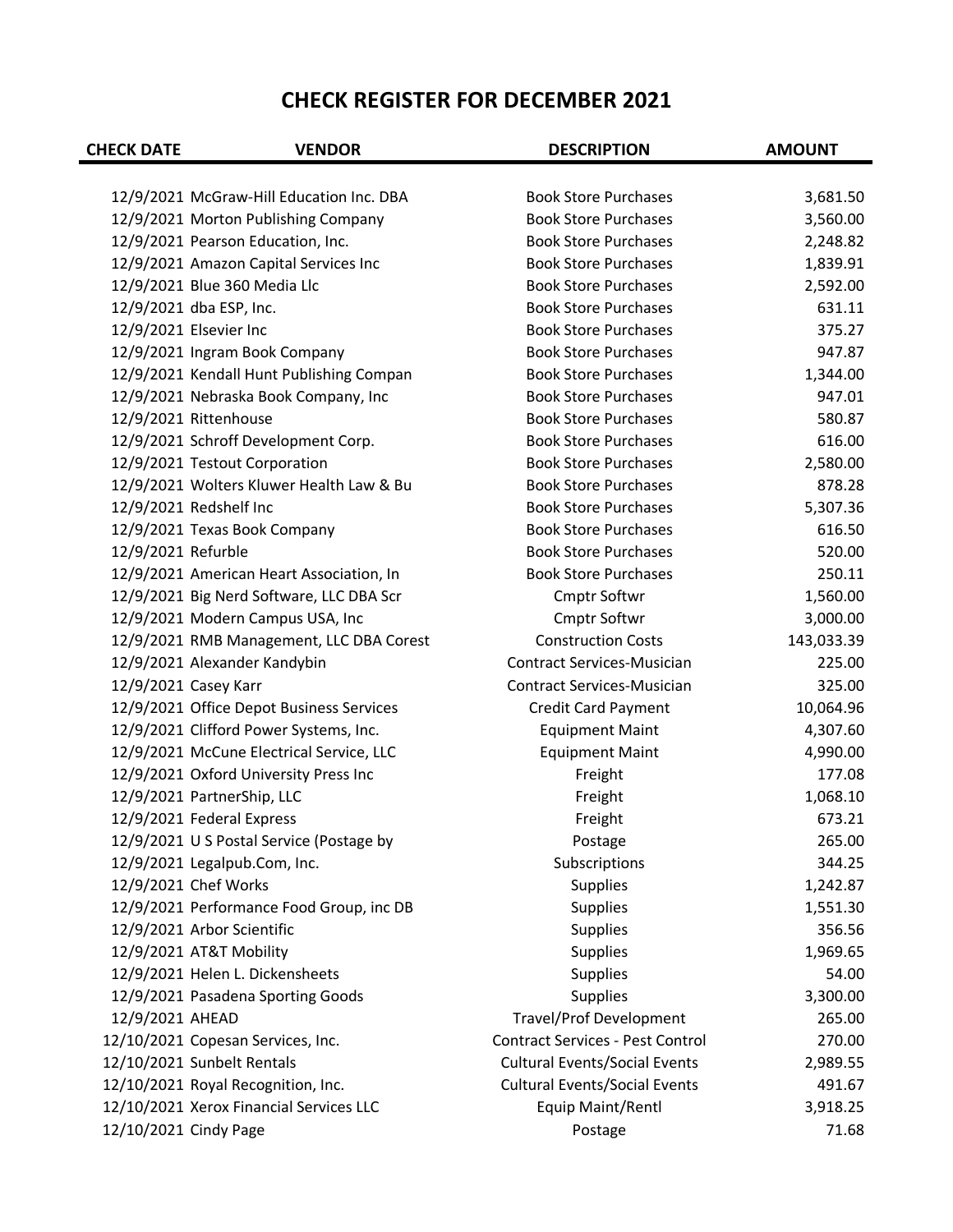| <b>CHECK DATE</b>      | <b>VENDOR</b>                            | <b>DESCRIPTION</b>                      | <b>AMOUNT</b> |
|------------------------|------------------------------------------|-----------------------------------------|---------------|
|                        |                                          |                                         |               |
|                        | 12/9/2021 McGraw-Hill Education Inc. DBA | <b>Book Store Purchases</b>             | 3,681.50      |
|                        | 12/9/2021 Morton Publishing Company      | <b>Book Store Purchases</b>             | 3,560.00      |
|                        | 12/9/2021 Pearson Education, Inc.        | <b>Book Store Purchases</b>             | 2,248.82      |
|                        | 12/9/2021 Amazon Capital Services Inc    | <b>Book Store Purchases</b>             | 1,839.91      |
|                        | 12/9/2021 Blue 360 Media Llc             | <b>Book Store Purchases</b>             | 2,592.00      |
|                        | 12/9/2021 dba ESP, Inc.                  | <b>Book Store Purchases</b>             | 631.11        |
| 12/9/2021 Elsevier Inc |                                          | <b>Book Store Purchases</b>             | 375.27        |
|                        | 12/9/2021 Ingram Book Company            | <b>Book Store Purchases</b>             | 947.87        |
|                        | 12/9/2021 Kendall Hunt Publishing Compan | <b>Book Store Purchases</b>             | 1,344.00      |
|                        | 12/9/2021 Nebraska Book Company, Inc     | <b>Book Store Purchases</b>             | 947.01        |
|                        | 12/9/2021 Rittenhouse                    | <b>Book Store Purchases</b>             | 580.87        |
|                        | 12/9/2021 Schroff Development Corp.      | <b>Book Store Purchases</b>             | 616.00        |
|                        | 12/9/2021 Testout Corporation            | <b>Book Store Purchases</b>             | 2,580.00      |
|                        | 12/9/2021 Wolters Kluwer Health Law & Bu | <b>Book Store Purchases</b>             | 878.28        |
|                        | 12/9/2021 Redshelf Inc                   | <b>Book Store Purchases</b>             | 5,307.36      |
|                        | 12/9/2021 Texas Book Company             | <b>Book Store Purchases</b>             | 616.50        |
| 12/9/2021 Refurble     |                                          | <b>Book Store Purchases</b>             | 520.00        |
|                        | 12/9/2021 American Heart Association, In | <b>Book Store Purchases</b>             | 250.11        |
|                        | 12/9/2021 Big Nerd Software, LLC DBA Scr | <b>Cmptr Softwr</b>                     | 1,560.00      |
|                        | 12/9/2021 Modern Campus USA, Inc         | <b>Cmptr Softwr</b>                     | 3,000.00      |
|                        | 12/9/2021 RMB Management, LLC DBA Corest | <b>Construction Costs</b>               | 143,033.39    |
|                        | 12/9/2021 Alexander Kandybin             | <b>Contract Services-Musician</b>       | 225.00        |
| 12/9/2021 Casey Karr   |                                          | <b>Contract Services-Musician</b>       | 325.00        |
|                        | 12/9/2021 Office Depot Business Services | <b>Credit Card Payment</b>              | 10,064.96     |
|                        | 12/9/2021 Clifford Power Systems, Inc.   | <b>Equipment Maint</b>                  | 4,307.60      |
|                        | 12/9/2021 McCune Electrical Service, LLC | <b>Equipment Maint</b>                  | 4,990.00      |
|                        | 12/9/2021 Oxford University Press Inc    | Freight                                 | 177.08        |
|                        | 12/9/2021 PartnerShip, LLC               | Freight                                 | 1,068.10      |
|                        | 12/9/2021 Federal Express                | Freight                                 | 673.21        |
|                        | 12/9/2021 U S Postal Service (Postage by | Postage                                 | 265.00        |
|                        | 12/9/2021 Legalpub.Com, Inc.             | Subscriptions                           | 344.25        |
|                        | 12/9/2021 Chef Works                     | Supplies                                | 1,242.87      |
|                        | 12/9/2021 Performance Food Group, inc DB | <b>Supplies</b>                         | 1,551.30      |
|                        | 12/9/2021 Arbor Scientific               | Supplies                                | 356.56        |
|                        | 12/9/2021 AT&T Mobility                  | Supplies                                | 1,969.65      |
|                        | 12/9/2021 Helen L. Dickensheets          | Supplies                                | 54.00         |
|                        | 12/9/2021 Pasadena Sporting Goods        | Supplies                                | 3,300.00      |
| 12/9/2021 AHEAD        |                                          | <b>Travel/Prof Development</b>          | 265.00        |
|                        | 12/10/2021 Copesan Services, Inc.        | <b>Contract Services - Pest Control</b> | 270.00        |
|                        | 12/10/2021 Sunbelt Rentals               | <b>Cultural Events/Social Events</b>    | 2,989.55      |
|                        | 12/10/2021 Royal Recognition, Inc.       | <b>Cultural Events/Social Events</b>    | 491.67        |
|                        | 12/10/2021 Xerox Financial Services LLC  | Equip Maint/Rentl                       | 3,918.25      |
| 12/10/2021 Cindy Page  |                                          | Postage                                 | 71.68         |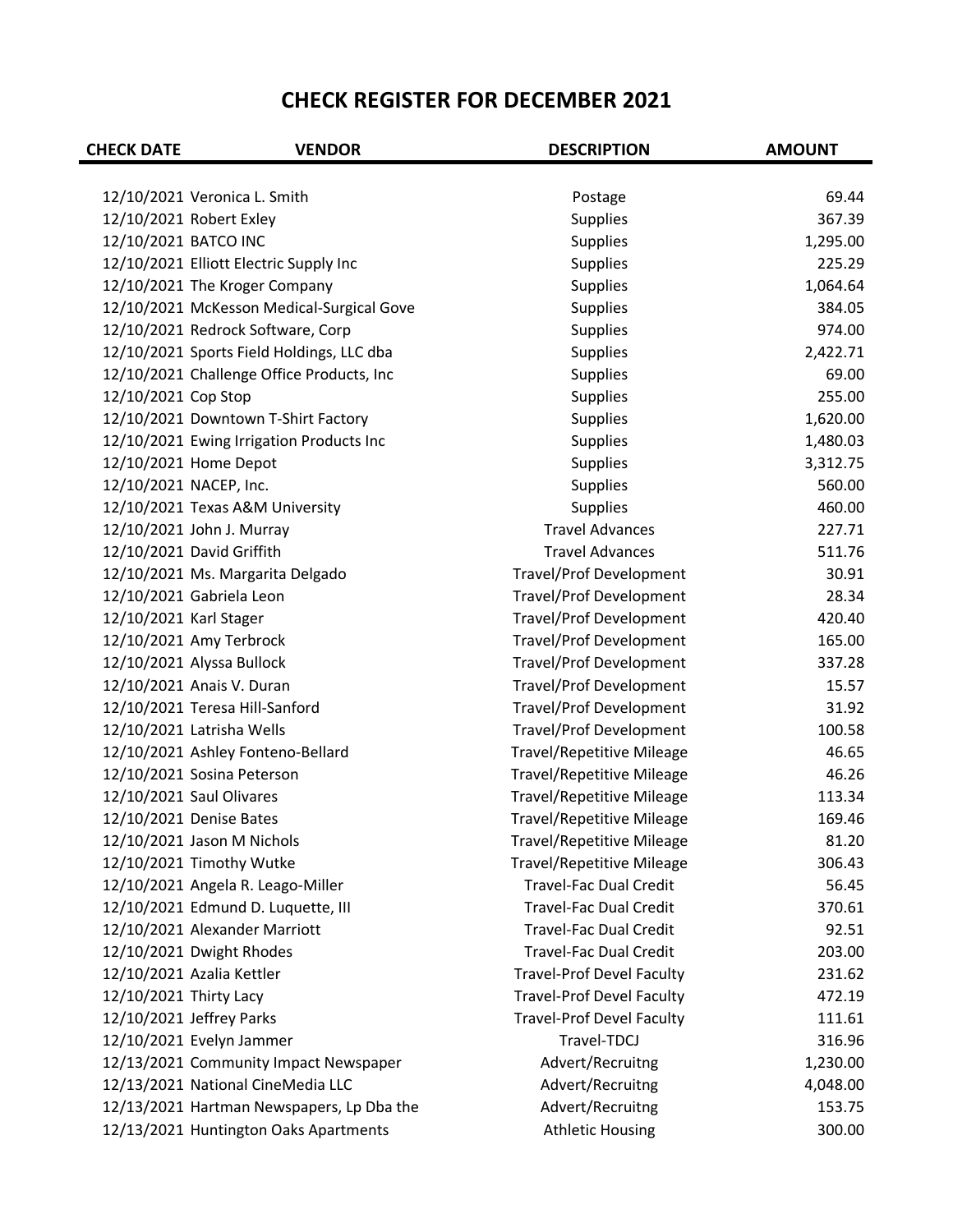| <b>CHECK DATE</b>      | <b>VENDOR</b>                             | <b>DESCRIPTION</b>               | <b>AMOUNT</b> |
|------------------------|-------------------------------------------|----------------------------------|---------------|
|                        |                                           |                                  |               |
|                        | 12/10/2021 Veronica L. Smith              | Postage                          | 69.44         |
|                        | 12/10/2021 Robert Exley                   | Supplies                         | 367.39        |
| 12/10/2021 BATCO INC   |                                           | <b>Supplies</b>                  | 1,295.00      |
|                        | 12/10/2021 Elliott Electric Supply Inc    | <b>Supplies</b>                  | 225.29        |
|                        | 12/10/2021 The Kroger Company             | Supplies                         | 1,064.64      |
|                        | 12/10/2021 McKesson Medical-Surgical Gove | Supplies                         | 384.05        |
|                        | 12/10/2021 Redrock Software, Corp         | <b>Supplies</b>                  | 974.00        |
|                        | 12/10/2021 Sports Field Holdings, LLC dba | <b>Supplies</b>                  | 2,422.71      |
|                        | 12/10/2021 Challenge Office Products, Inc | <b>Supplies</b>                  | 69.00         |
| 12/10/2021 Cop Stop    |                                           | Supplies                         | 255.00        |
|                        | 12/10/2021 Downtown T-Shirt Factory       | Supplies                         | 1,620.00      |
|                        | 12/10/2021 Ewing Irrigation Products Inc  | <b>Supplies</b>                  | 1,480.03      |
|                        | 12/10/2021 Home Depot                     | <b>Supplies</b>                  | 3,312.75      |
|                        | 12/10/2021 NACEP, Inc.                    | Supplies                         | 560.00        |
|                        | 12/10/2021 Texas A&M University           | Supplies                         | 460.00        |
|                        | 12/10/2021 John J. Murray                 | <b>Travel Advances</b>           | 227.71        |
|                        | 12/10/2021 David Griffith                 | <b>Travel Advances</b>           | 511.76        |
|                        | 12/10/2021 Ms. Margarita Delgado          | <b>Travel/Prof Development</b>   | 30.91         |
|                        | 12/10/2021 Gabriela Leon                  | Travel/Prof Development          | 28.34         |
| 12/10/2021 Karl Stager |                                           | Travel/Prof Development          | 420.40        |
|                        | 12/10/2021 Amy Terbrock                   | <b>Travel/Prof Development</b>   | 165.00        |
|                        | 12/10/2021 Alyssa Bullock                 | <b>Travel/Prof Development</b>   | 337.28        |
|                        | 12/10/2021 Anais V. Duran                 | <b>Travel/Prof Development</b>   | 15.57         |
|                        | 12/10/2021 Teresa Hill-Sanford            | Travel/Prof Development          | 31.92         |
|                        | 12/10/2021 Latrisha Wells                 | Travel/Prof Development          | 100.58        |
|                        | 12/10/2021 Ashley Fonteno-Bellard         | <b>Travel/Repetitive Mileage</b> | 46.65         |
|                        | 12/10/2021 Sosina Peterson                | <b>Travel/Repetitive Mileage</b> | 46.26         |
|                        | 12/10/2021 Saul Olivares                  | <b>Travel/Repetitive Mileage</b> | 113.34        |
|                        | 12/10/2021 Denise Bates                   | <b>Travel/Repetitive Mileage</b> | 169.46        |
|                        | 12/10/2021 Jason M Nichols                | <b>Travel/Repetitive Mileage</b> | 81.20         |
|                        | 12/10/2021 Timothy Wutke                  | <b>Travel/Repetitive Mileage</b> | 306.43        |
|                        | 12/10/2021 Angela R. Leago-Miller         | <b>Travel-Fac Dual Credit</b>    | 56.45         |
|                        | 12/10/2021 Edmund D. Luquette, III        | <b>Travel-Fac Dual Credit</b>    | 370.61        |
|                        | 12/10/2021 Alexander Marriott             | <b>Travel-Fac Dual Credit</b>    | 92.51         |
|                        | 12/10/2021 Dwight Rhodes                  | <b>Travel-Fac Dual Credit</b>    | 203.00        |
|                        | 12/10/2021 Azalia Kettler                 | <b>Travel-Prof Devel Faculty</b> | 231.62        |
| 12/10/2021 Thirty Lacy |                                           | <b>Travel-Prof Devel Faculty</b> | 472.19        |
|                        | 12/10/2021 Jeffrey Parks                  | <b>Travel-Prof Devel Faculty</b> | 111.61        |
|                        | 12/10/2021 Evelyn Jammer                  | Travel-TDCJ                      | 316.96        |
|                        | 12/13/2021 Community Impact Newspaper     | Advert/Recruitng                 | 1,230.00      |
|                        | 12/13/2021 National CineMedia LLC         | Advert/Recruitng                 | 4,048.00      |
|                        | 12/13/2021 Hartman Newspapers, Lp Dba the | Advert/Recruitng                 | 153.75        |
|                        | 12/13/2021 Huntington Oaks Apartments     | <b>Athletic Housing</b>          | 300.00        |
|                        |                                           |                                  |               |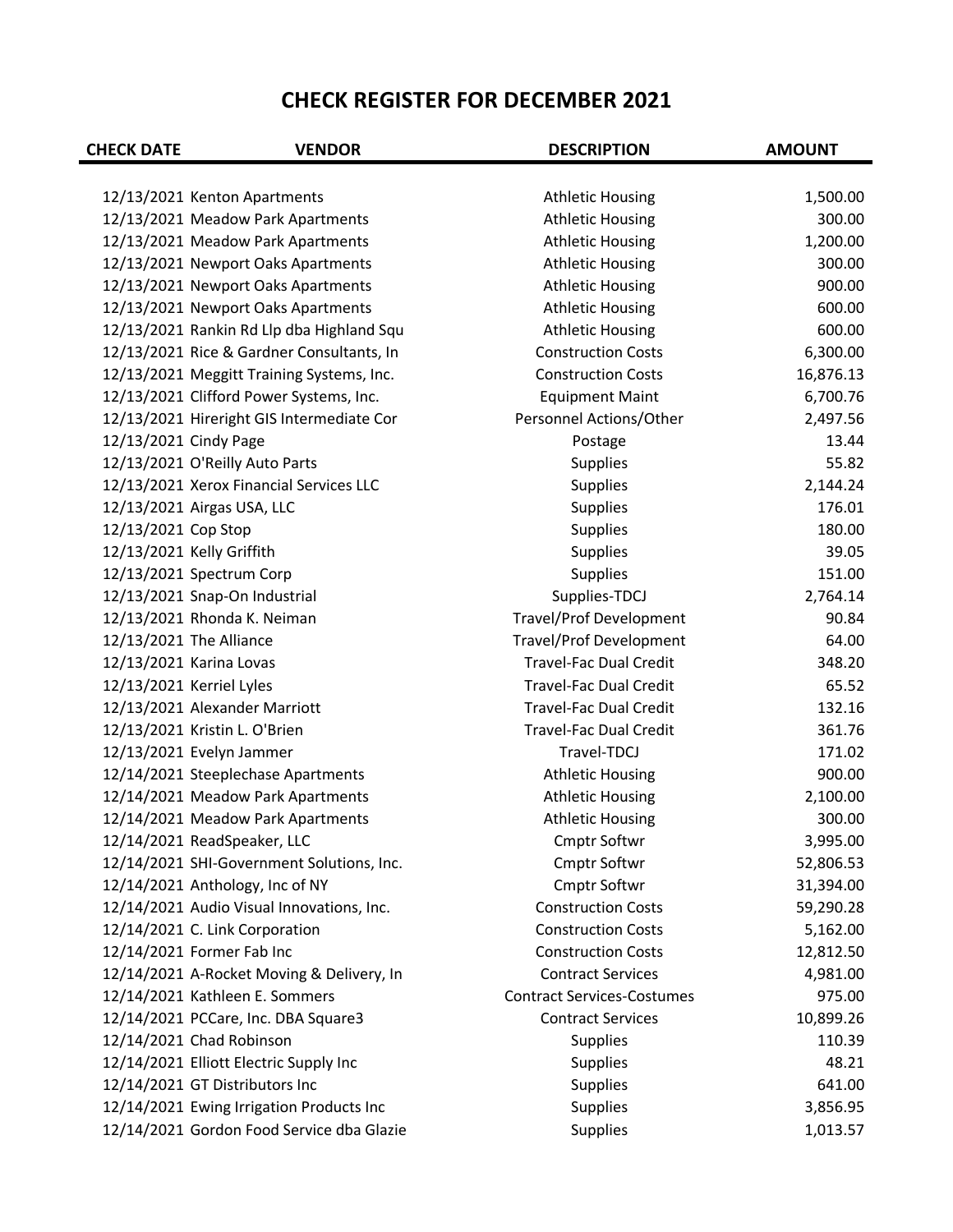| <b>CHECK DATE</b>     | <b>VENDOR</b>                             | <b>DESCRIPTION</b>                | <b>AMOUNT</b> |
|-----------------------|-------------------------------------------|-----------------------------------|---------------|
|                       |                                           |                                   |               |
|                       | 12/13/2021 Kenton Apartments              | <b>Athletic Housing</b>           | 1,500.00      |
|                       | 12/13/2021 Meadow Park Apartments         | <b>Athletic Housing</b>           | 300.00        |
|                       | 12/13/2021 Meadow Park Apartments         | <b>Athletic Housing</b>           | 1,200.00      |
|                       | 12/13/2021 Newport Oaks Apartments        | <b>Athletic Housing</b>           | 300.00        |
|                       | 12/13/2021 Newport Oaks Apartments        | <b>Athletic Housing</b>           | 900.00        |
|                       | 12/13/2021 Newport Oaks Apartments        | <b>Athletic Housing</b>           | 600.00        |
|                       | 12/13/2021 Rankin Rd Llp dba Highland Squ | <b>Athletic Housing</b>           | 600.00        |
|                       | 12/13/2021 Rice & Gardner Consultants, In | <b>Construction Costs</b>         | 6,300.00      |
|                       | 12/13/2021 Meggitt Training Systems, Inc. | <b>Construction Costs</b>         | 16,876.13     |
|                       | 12/13/2021 Clifford Power Systems, Inc.   | <b>Equipment Maint</b>            | 6,700.76      |
|                       | 12/13/2021 Hireright GIS Intermediate Cor | Personnel Actions/Other           | 2,497.56      |
| 12/13/2021 Cindy Page |                                           | Postage                           | 13.44         |
|                       | 12/13/2021 O'Reilly Auto Parts            | Supplies                          | 55.82         |
|                       | 12/13/2021 Xerox Financial Services LLC   | <b>Supplies</b>                   | 2,144.24      |
|                       | 12/13/2021 Airgas USA, LLC                | Supplies                          | 176.01        |
| 12/13/2021 Cop Stop   |                                           | Supplies                          | 180.00        |
|                       | 12/13/2021 Kelly Griffith                 | Supplies                          | 39.05         |
|                       | 12/13/2021 Spectrum Corp                  | Supplies                          | 151.00        |
|                       | 12/13/2021 Snap-On Industrial             | Supplies-TDCJ                     | 2,764.14      |
|                       | 12/13/2021 Rhonda K. Neiman               | <b>Travel/Prof Development</b>    | 90.84         |
|                       | 12/13/2021 The Alliance                   | <b>Travel/Prof Development</b>    | 64.00         |
|                       | 12/13/2021 Karina Lovas                   | <b>Travel-Fac Dual Credit</b>     | 348.20        |
|                       | 12/13/2021 Kerriel Lyles                  | <b>Travel-Fac Dual Credit</b>     | 65.52         |
|                       | 12/13/2021 Alexander Marriott             | <b>Travel-Fac Dual Credit</b>     | 132.16        |
|                       | 12/13/2021 Kristin L. O'Brien             | <b>Travel-Fac Dual Credit</b>     | 361.76        |
|                       | 12/13/2021 Evelyn Jammer                  | Travel-TDCJ                       | 171.02        |
|                       | 12/14/2021 Steeplechase Apartments        | <b>Athletic Housing</b>           | 900.00        |
|                       | 12/14/2021 Meadow Park Apartments         | <b>Athletic Housing</b>           | 2,100.00      |
|                       | 12/14/2021 Meadow Park Apartments         | <b>Athletic Housing</b>           | 300.00        |
|                       | 12/14/2021 ReadSpeaker, LLC               | Cmptr Softwr                      | 3,995.00      |
|                       | 12/14/2021 SHI-Government Solutions, Inc. | Cmptr Softwr                      | 52,806.53     |
|                       | 12/14/2021 Anthology, Inc of NY           | Cmptr Softwr                      | 31,394.00     |
|                       | 12/14/2021 Audio Visual Innovations, Inc. | <b>Construction Costs</b>         | 59,290.28     |
|                       | 12/14/2021 C. Link Corporation            | <b>Construction Costs</b>         | 5,162.00      |
|                       | 12/14/2021 Former Fab Inc                 | <b>Construction Costs</b>         | 12,812.50     |
|                       | 12/14/2021 A-Rocket Moving & Delivery, In | <b>Contract Services</b>          | 4,981.00      |
|                       | 12/14/2021 Kathleen E. Sommers            | <b>Contract Services-Costumes</b> | 975.00        |
|                       | 12/14/2021 PCCare, Inc. DBA Square3       | <b>Contract Services</b>          | 10,899.26     |
|                       | 12/14/2021 Chad Robinson                  | Supplies                          | 110.39        |
|                       | 12/14/2021 Elliott Electric Supply Inc    | Supplies                          | 48.21         |
|                       | 12/14/2021 GT Distributors Inc            | Supplies                          | 641.00        |
|                       | 12/14/2021 Ewing Irrigation Products Inc  | Supplies                          | 3,856.95      |
|                       | 12/14/2021 Gordon Food Service dba Glazie | Supplies                          | 1,013.57      |